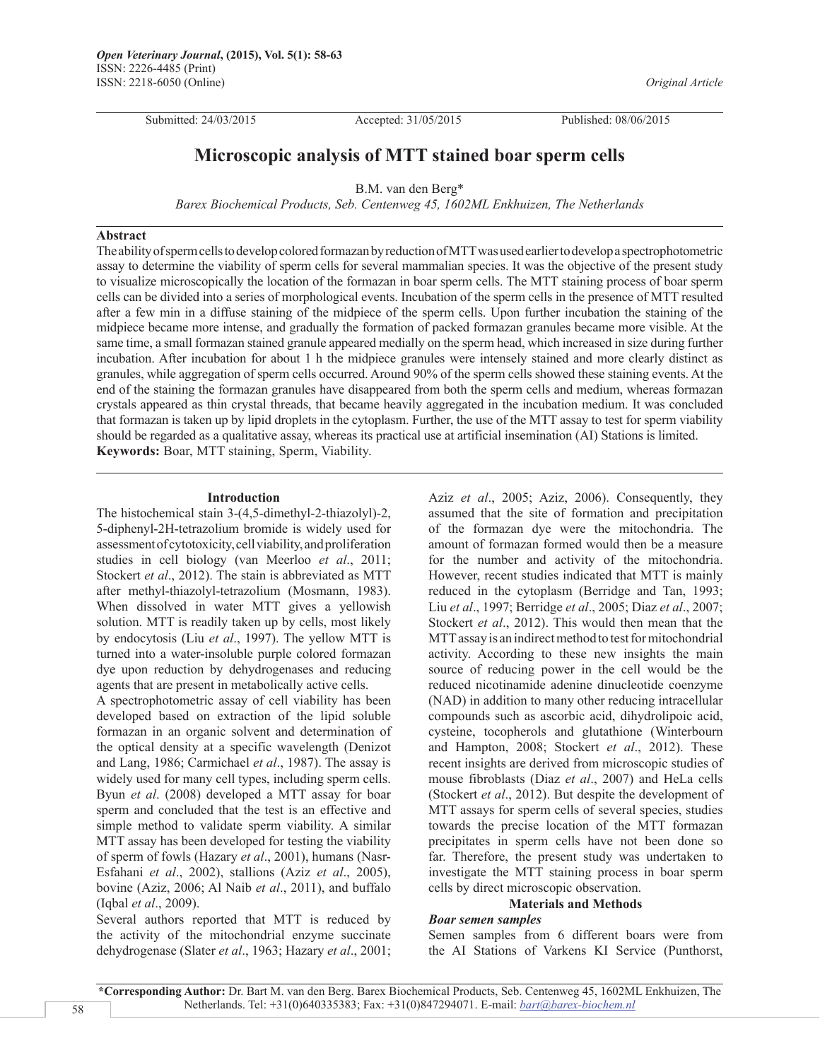Submitted: 24/03/2015 Accepted: 31/05/2015 Published: 08/06/2015

*Original Article*

# **Microscopic analysis of MTT stained boar sperm cells**

B.M. van den Berg\*

*Barex Biochemical Products, Seb. Centenweg 45, 1602ML Enkhuizen, The Netherlands*

# **Abstract**

The ability of sperm cells to develop colored formazan by reduction of MTT was used earlier to develop a spectrophotometric assay to determine the viability of sperm cells for several mammalian species. It was the objective of the present study to visualize microscopically the location of the formazan in boar sperm cells. The MTT staining process of boar sperm cells can be divided into a series of morphological events. Incubation of the sperm cells in the presence of MTT resulted after a few min in a diffuse staining of the midpiece of the sperm cells. Upon further incubation the staining of the midpiece became more intense, and gradually the formation of packed formazan granules became more visible. At the same time, a small formazan stained granule appeared medially on the sperm head, which increased in size during further incubation. After incubation for about 1 h the midpiece granules were intensely stained and more clearly distinct as granules, while aggregation of sperm cells occurred. Around 90% of the sperm cells showed these staining events. At the end of the staining the formazan granules have disappeared from both the sperm cells and medium, whereas formazan crystals appeared as thin crystal threads, that became heavily aggregated in the incubation medium. It was concluded that formazan is taken up by lipid droplets in the cytoplasm. Further, the use of the MTT assay to test for sperm viability should be regarded as a qualitative assay, whereas its practical use at artificial insemination (AI) Stations is limited. **Keywords:** Boar, MTT staining, Sperm, Viability.

#### **Introduction**

The histochemical stain 3-(4,5-dimethyl-2-thiazolyl)-2, 5-diphenyl-2H-tetrazolium bromide is widely used for assessment of cytotoxicity, cell viability, and proliferation studies in cell biology (van Meerloo *et al*., 2011; Stockert *et al*., 2012). The stain is abbreviated as MTT after methyl-thiazolyl-tetrazolium (Mosmann, 1983). When dissolved in water MTT gives a yellowish solution. MTT is readily taken up by cells, most likely by endocytosis (Liu *et al*., 1997). The yellow MTT is turned into a water-insoluble purple colored formazan dye upon reduction by dehydrogenases and reducing agents that are present in metabolically active cells.

A spectrophotometric assay of cell viability has been developed based on extraction of the lipid soluble formazan in an organic solvent and determination of the optical density at a specific wavelength (Denizot and Lang, 1986; Carmichael *et al*., 1987). The assay is widely used for many cell types, including sperm cells. Byun *et al*. (2008) developed a MTT assay for boar sperm and concluded that the test is an effective and simple method to validate sperm viability. A similar MTT assay has been developed for testing the viability of sperm of fowls (Hazary *et al*., 2001), humans (Nasr-Esfahani *et al*., 2002), stallions (Aziz *et al*., 2005), bovine (Aziz, 2006; Al Naib *et al*., 2011), and buffalo (Iqbal *et al*., 2009).

Several authors reported that MTT is reduced by the activity of the mitochondrial enzyme succinate dehydrogenase (Slater *et al*., 1963; Hazary *et al*., 2001;

Aziz *et al*., 2005; Aziz, 2006). Consequently, they assumed that the site of formation and precipitation of the formazan dye were the mitochondria. The amount of formazan formed would then be a measure for the number and activity of the mitochondria. However, recent studies indicated that MTT is mainly reduced in the cytoplasm (Berridge and Tan, 1993; Liu *et al*., 1997; Berridge *et al*., 2005; Diaz *et al*., 2007; Stockert *et al*., 2012). This would then mean that the MTT assay is an indirect method to test for mitochondrial activity. According to these new insights the main source of reducing power in the cell would be the reduced nicotinamide adenine dinucleotide coenzyme (NAD) in addition to many other reducing intracellular compounds such as ascorbic acid, dihydrolipoic acid, cysteine, tocopherols and glutathione (Winterbourn and Hampton, 2008; Stockert *et al*., 2012). These recent insights are derived from microscopic studies of mouse fibroblasts (Diaz *et al*., 2007) and HeLa cells (Stockert *et al*., 2012). But despite the development of MTT assays for sperm cells of several species, studies towards the precise location of the MTT formazan precipitates in sperm cells have not been done so far. Therefore, the present study was undertaken to investigate the MTT staining process in boar sperm cells by direct microscopic observation.

# **Materials and Methods**

### *Boar semen samples*

Semen samples from 6 different boars were from the AI Stations of Varkens KI Service (Punthorst,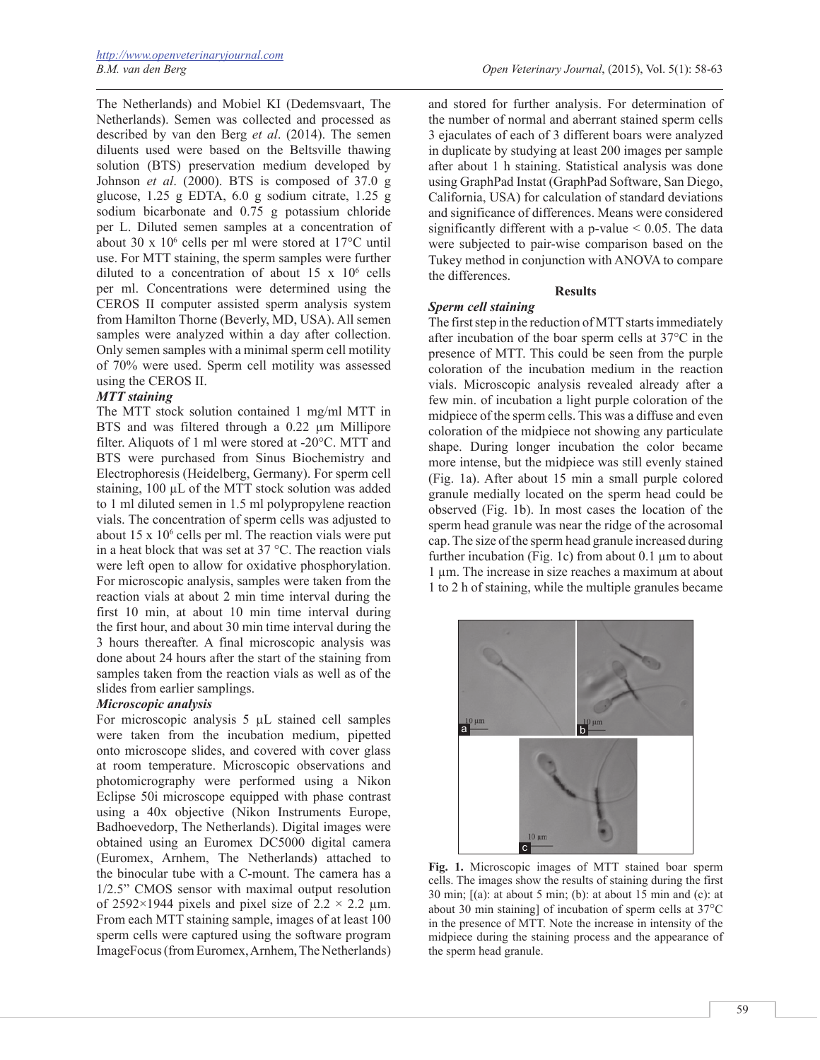The Netherlands) and Mobiel KI (Dedemsvaart, The Netherlands). Semen was collected and processed as described by van den Berg *et al*. (2014). The semen diluents used were based on the Beltsville thawing solution (BTS) preservation medium developed by Johnson *et al*. (2000). BTS is composed of 37.0 g glucose, 1.25 g EDTA, 6.0 g sodium citrate, 1.25 g sodium bicarbonate and 0.75 g potassium chloride per L. Diluted semen samples at a concentration of about 30 x 106 cells per ml were stored at 17°C until use. For MTT staining, the sperm samples were further diluted to a concentration of about  $15 \times 10^6$  cells per ml. Concentrations were determined using the CEROS II computer assisted sperm analysis system from Hamilton Thorne (Beverly, MD, USA). All semen samples were analyzed within a day after collection. Only semen samples with a minimal sperm cell motility of 70% were used. Sperm cell motility was assessed using the CEROS II.

# *MTT staining*

The MTT stock solution contained 1 mg/ml MTT in BTS and was filtered through a 0.22 μm Millipore filter. Aliquots of 1 ml were stored at -20°C. MTT and BTS were purchased from Sinus Biochemistry and Electrophoresis (Heidelberg, Germany). For sperm cell staining, 100 μL of the MTT stock solution was added to 1 ml diluted semen in 1.5 ml polypropylene reaction vials. The concentration of sperm cells was adjusted to about 15 x 106 cells per ml. The reaction vials were put in a heat block that was set at 37 °C. The reaction vials were left open to allow for oxidative phosphorylation. For microscopic analysis, samples were taken from the reaction vials at about 2 min time interval during the first 10 min, at about 10 min time interval during the first hour, and about 30 min time interval during the 3 hours thereafter. A final microscopic analysis was done about 24 hours after the start of the staining from samples taken from the reaction vials as well as of the slides from earlier samplings.

### *Microscopic analysis*

For microscopic analysis 5 μL stained cell samples were taken from the incubation medium, pipetted onto microscope slides, and covered with cover glass at room temperature. Microscopic observations and photomicrography were performed using a Nikon Eclipse 50i microscope equipped with phase contrast using a 40x objective (Nikon Instruments Europe, Badhoevedorp, The Netherlands). Digital images were obtained using an Euromex DC5000 digital camera (Euromex, Arnhem, The Netherlands) attached to the binocular tube with a C-mount. The camera has a 1/2.5" CMOS sensor with maximal output resolution of 2592×1944 pixels and pixel size of 2.2  $\times$  2.2  $\mu$ m. From each MTT staining sample, images of at least 100 sperm cells were captured using the software program ImageFocus (from Euromex, Arnhem, The Netherlands)

and stored for further analysis. For determination of the number of normal and aberrant stained sperm cells 3 ejaculates of each of 3 different boars were analyzed in duplicate by studying at least 200 images per sample after about 1 h staining. Statistical analysis was done using GraphPad Instat (GraphPad Software, San Diego, California, USA) for calculation of standard deviations and significance of differences. Means were considered significantly different with a p-value < 0.05. The data were subjected to pair-wise comparison based on the Tukey method in conjunction with ANOVA to compare the differences.

# **Results**

#### *Sperm cell staining*

The first step in the reduction of MTT starts immediately after incubation of the boar sperm cells at 37°C in the presence of MTT. This could be seen from the purple coloration of the incubation medium in the reaction vials. Microscopic analysis revealed already after a few min. of incubation a light purple coloration of the midpiece of the sperm cells. This was a diffuse and even coloration of the midpiece not showing any particulate shape. During longer incubation the color became more intense, but the midpiece was still evenly stained (Fig. 1a). After about 15 min a small purple colored granule medially located on the sperm head could be observed (Fig. 1b). In most cases the location of the sperm head granule was near the ridge of the acrosomal cap. The size of the sperm head granule increased during further incubation (Fig. 1c) from about 0.1 μm to about 1 μm. The increase in size reaches a maximum at about 1 to 2 h of staining, while the multiple granules became



**Fig. 1.** Microscopic images of MTT stained boar sperm cells. The images show the results of staining during the first 30 min;  $[(a)$ : at about 5 min; (b): at about 15 min and  $(c)$ : at about 30 min staining] of incubation of sperm cells at 37°C in the presence of MTT. Note the increase in intensity of the midpiece during the staining process and the appearance of the sperm head granule.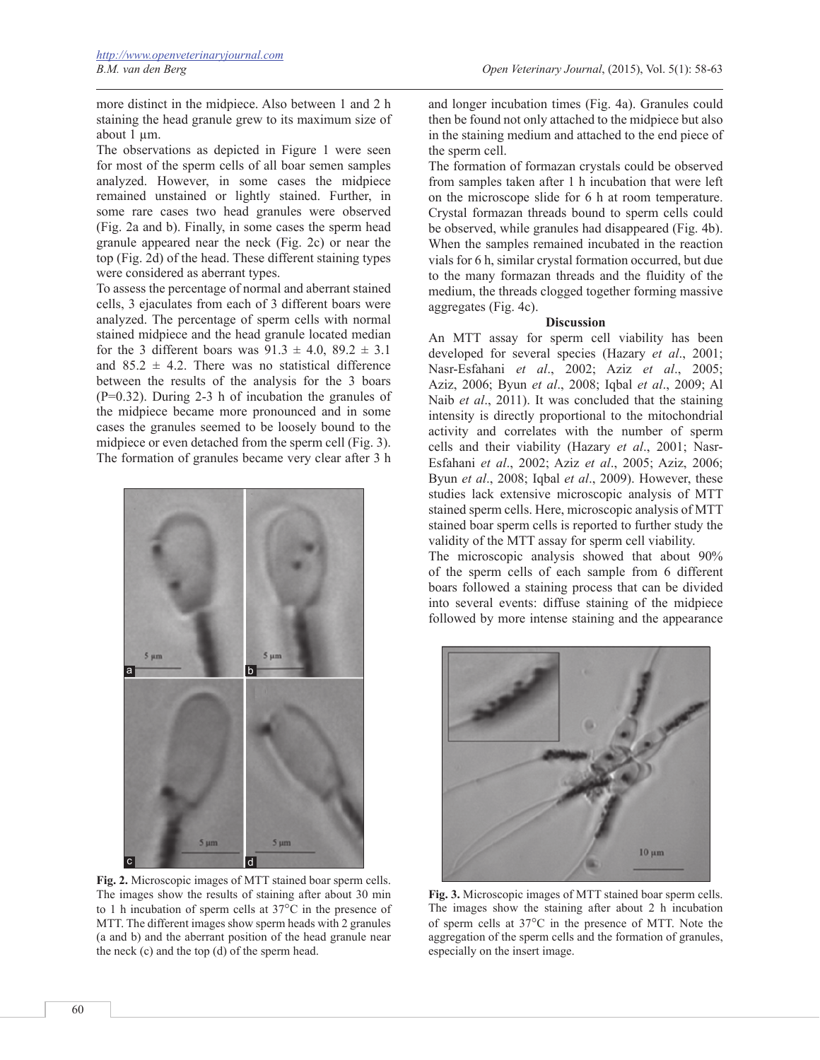*B.M. van den Berg Open Veterinary Journal*, (2015), Vol. 5(1): 58-63

more distinct in the midpiece. Also between 1 and 2 h staining the head granule grew to its maximum size of about 1 μm.

The observations as depicted in Figure 1 were seen for most of the sperm cells of all boar semen samples analyzed. However, in some cases the midpiece remained unstained or lightly stained. Further, in some rare cases two head granules were observed (Fig. 2a and b). Finally, in some cases the sperm head granule appeared near the neck (Fig. 2c) or near the top (Fig. 2d) of the head. These different staining types were considered as aberrant types.

To assess the percentage of normal and aberrant stained cells, 3 ejaculates from each of 3 different boars were analyzed. The percentage of sperm cells with normal stained midpiece and the head granule located median for the 3 different boars was  $91.3 \pm 4.0$ ,  $89.2 \pm 3.1$ and  $85.2 \pm 4.2$ . There was no statistical difference between the results of the analysis for the 3 boars (P=0.32). During 2-3 h of incubation the granules of the midpiece became more pronounced and in some cases the granules seemed to be loosely bound to the midpiece or even detached from the sperm cell (Fig. 3). The formation of granules became very clear after 3 h



**Fig. 2.** Microscopic images of MTT stained boar sperm cells. The images show the results of staining after about 30 min to 1 h incubation of sperm cells at 37°C in the presence of MTT. The different images show sperm heads with 2 granules (a and b) and the aberrant position of the head granule near the neck (c) and the top (d) of the sperm head.

and longer incubation times (Fig. 4a). Granules could then be found not only attached to the midpiece but also in the staining medium and attached to the end piece of the sperm cell.

The formation of formazan crystals could be observed from samples taken after 1 h incubation that were left on the microscope slide for 6 h at room temperature. Crystal formazan threads bound to sperm cells could be observed, while granules had disappeared (Fig. 4b). When the samples remained incubated in the reaction vials for 6 h, similar crystal formation occurred, but due to the many formazan threads and the fluidity of the medium, the threads clogged together forming massive aggregates (Fig. 4c).

#### **Discussion**

An MTT assay for sperm cell viability has been developed for several species (Hazary *et al*., 2001; Nasr-Esfahani *et al*., 2002; Aziz *et al*., 2005; Aziz, 2006; Byun *et al*., 2008; Iqbal *et al*., 2009; Al Naib *et al*., 2011). It was concluded that the staining intensity is directly proportional to the mitochondrial activity and correlates with the number of sperm cells and their viability (Hazary *et al*., 2001; Nasr-Esfahani *et al*., 2002; Aziz *et al*., 2005; Aziz, 2006; Byun *et al*., 2008; Iqbal *et al*., 2009). However, these studies lack extensive microscopic analysis of MTT stained sperm cells. Here, microscopic analysis of MTT stained boar sperm cells is reported to further study the validity of the MTT assay for sperm cell viability.

The microscopic analysis showed that about 90% of the sperm cells of each sample from 6 different boars followed a staining process that can be divided into several events: diffuse staining of the midpiece followed by more intense staining and the appearance



**Fig. 3.** Microscopic images of MTT stained boar sperm cells. The images show the staining after about 2 h incubation of sperm cells at 37°C in the presence of MTT. Note the aggregation of the sperm cells and the formation of granules, especially on the insert image.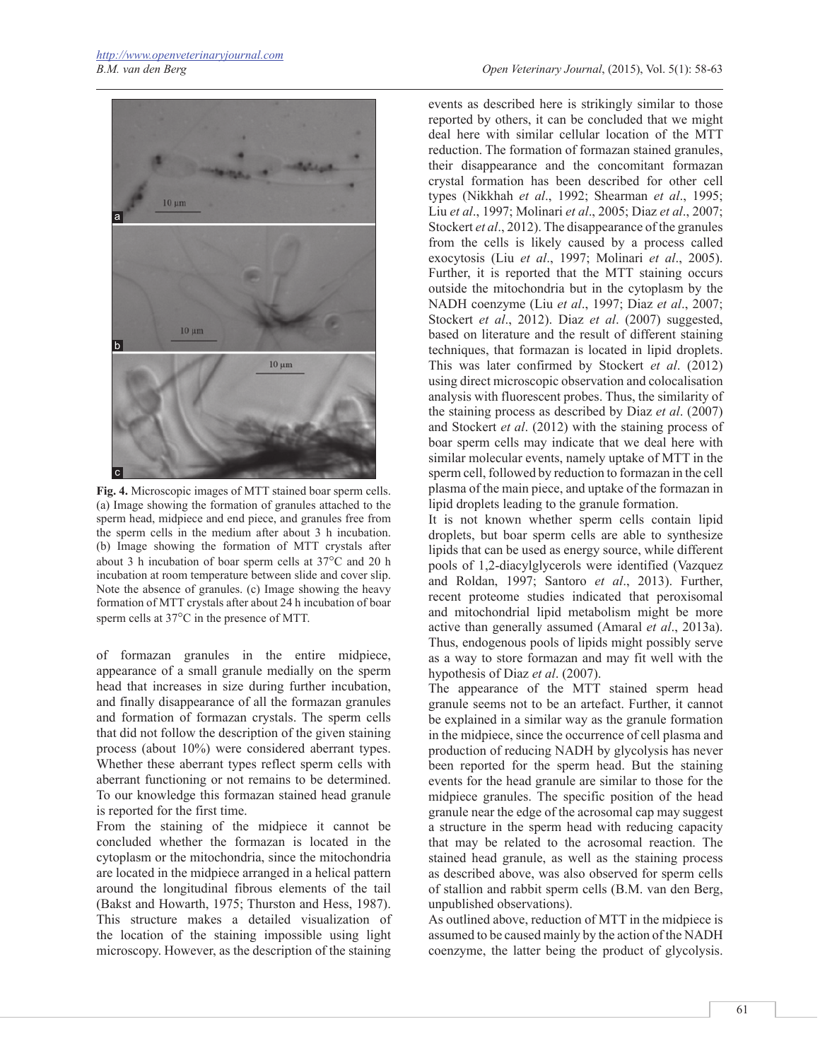

**Fig. 4.** Microscopic images of MTT stained boar sperm cells. (a) Image showing the formation of granules attached to the sperm head, midpiece and end piece, and granules free from the sperm cells in the medium after about 3 h incubation. (b) Image showing the formation of MTT crystals after about 3 h incubation of boar sperm cells at 37°C and 20 h incubation at room temperature between slide and cover slip. Note the absence of granules. (c) Image showing the heavy formation of MTT crystals after about 24 h incubation of boar sperm cells at 37°C in the presence of MTT.

of formazan granules in the entire midpiece, appearance of a small granule medially on the sperm head that increases in size during further incubation, and finally disappearance of all the formazan granules and formation of formazan crystals. The sperm cells that did not follow the description of the given staining process (about 10%) were considered aberrant types. Whether these aberrant types reflect sperm cells with aberrant functioning or not remains to be determined. To our knowledge this formazan stained head granule is reported for the first time.

From the staining of the midpiece it cannot be concluded whether the formazan is located in the cytoplasm or the mitochondria, since the mitochondria are located in the midpiece arranged in a helical pattern around the longitudinal fibrous elements of the tail (Bakst and Howarth, 1975; Thurston and Hess, 1987). This structure makes a detailed visualization of the location of the staining impossible using light microscopy. However, as the description of the staining

events as described here is strikingly similar to those reported by others, it can be concluded that we might deal here with similar cellular location of the MTT reduction. The formation of formazan stained granules, their disappearance and the concomitant formazan crystal formation has been described for other cell types (Nikkhah *et al*., 1992; Shearman *et al*., 1995; Liu *et al*., 1997; Molinari *et al*., 2005; Diaz *et al*., 2007; Stockert *et al*., 2012). The disappearance of the granules from the cells is likely caused by a process called exocytosis (Liu *et al*., 1997; Molinari *et al*., 2005). Further, it is reported that the MTT staining occurs outside the mitochondria but in the cytoplasm by the NADH coenzyme (Liu *et al*., 1997; Diaz *et al*., 2007; Stockert *et al*., 2012). Diaz *et al*. (2007) suggested, based on literature and the result of different staining techniques, that formazan is located in lipid droplets. This was later confirmed by Stockert *et al*. (2012) using direct microscopic observation and colocalisation analysis with fluorescent probes. Thus, the similarity of the staining process as described by Diaz *et al*. (2007) and Stockert *et al*. (2012) with the staining process of boar sperm cells may indicate that we deal here with similar molecular events, namely uptake of MTT in the sperm cell, followed by reduction to formazan in the cell plasma of the main piece, and uptake of the formazan in lipid droplets leading to the granule formation.

It is not known whether sperm cells contain lipid droplets, but boar sperm cells are able to synthesize lipids that can be used as energy source, while different pools of 1,2-diacylglycerols were identified (Vazquez and Roldan, 1997; Santoro *et al*., 2013). Further, recent proteome studies indicated that peroxisomal and mitochondrial lipid metabolism might be more active than generally assumed (Amaral *et al*., 2013a). Thus, endogenous pools of lipids might possibly serve as a way to store formazan and may fit well with the hypothesis of Diaz *et al*. (2007).

The appearance of the MTT stained sperm head granule seems not to be an artefact. Further, it cannot be explained in a similar way as the granule formation in the midpiece, since the occurrence of cell plasma and production of reducing NADH by glycolysis has never been reported for the sperm head. But the staining events for the head granule are similar to those for the midpiece granules. The specific position of the head granule near the edge of the acrosomal cap may suggest a structure in the sperm head with reducing capacity that may be related to the acrosomal reaction. The stained head granule, as well as the staining process as described above, was also observed for sperm cells of stallion and rabbit sperm cells (B.M. van den Berg, unpublished observations).

As outlined above, reduction of MTT in the midpiece is assumed to be caused mainly by the action of the NADH coenzyme, the latter being the product of glycolysis.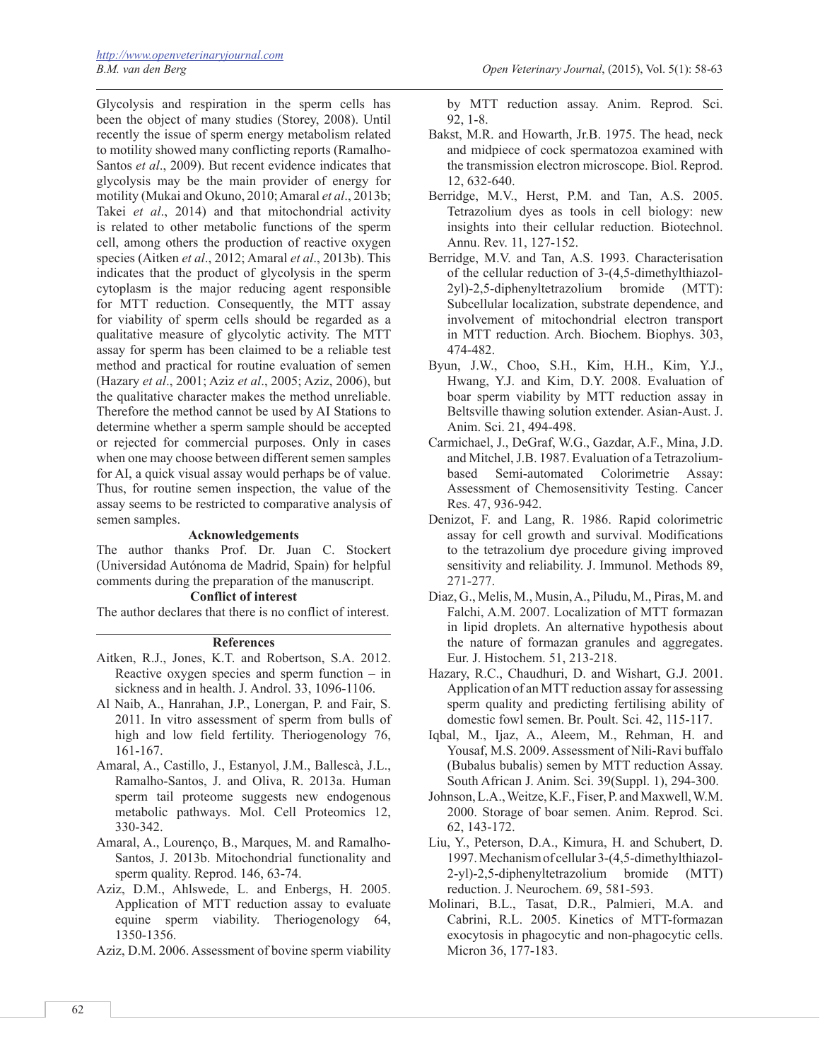Glycolysis and respiration in the sperm cells has been the object of many studies (Storey, 2008). Until recently the issue of sperm energy metabolism related to motility showed many conflicting reports (Ramalho-Santos *et al*., 2009). But recent evidence indicates that glycolysis may be the main provider of energy for motility (Mukai and Okuno, 2010; Amaral *et al*., 2013b; Takei *et al*., 2014) and that mitochondrial activity is related to other metabolic functions of the sperm cell, among others the production of reactive oxygen species (Aitken *et al*., 2012; Amaral *et al*., 2013b). This indicates that the product of glycolysis in the sperm cytoplasm is the major reducing agent responsible for MTT reduction. Consequently, the MTT assay for viability of sperm cells should be regarded as a qualitative measure of glycolytic activity. The MTT assay for sperm has been claimed to be a reliable test method and practical for routine evaluation of semen (Hazary *et al*., 2001; Aziz *et al*., 2005; Aziz, 2006), but the qualitative character makes the method unreliable. Therefore the method cannot be used by AI Stations to determine whether a sperm sample should be accepted or rejected for commercial purposes. Only in cases when one may choose between different semen samples for AI, a quick visual assay would perhaps be of value. Thus, for routine semen inspection, the value of the assay seems to be restricted to comparative analysis of semen samples.

### **Acknowledgements**

The author thanks Prof. Dr. Juan C. Stockert (Universidad Autónoma de Madrid, Spain) for helpful comments during the preparation of the manuscript.

### **Conflict of interest**

The author declares that there is no conflict of interest.

#### **References**

- Aitken, R.J., Jones, K.T. and Robertson, S.A. 2012. Reactive oxygen species and sperm function – in sickness and in health. J. Androl. 33, 1096-1106.
- Al Naib, A., Hanrahan, J.P., Lonergan, P. and Fair, S. 2011. In vitro assessment of sperm from bulls of high and low field fertility. Theriogenology 76, 161-167.
- Amaral, A., Castillo, J., Estanyol, J.M., Ballescà, J.L., Ramalho-Santos, J. and Oliva, R. 2013a. Human sperm tail proteome suggests new endogenous metabolic pathways. Mol. Cell Proteomics 12, 330-342.
- Amaral, A., Lourenço, B., Marques, M. and Ramalho-Santos, J. 2013b. Mitochondrial functionality and sperm quality. Reprod. 146, 63-74.
- Aziz, D.M., Ahlswede, L. and Enbergs, H. 2005. Application of MTT reduction assay to evaluate equine sperm viability. Theriogenology 64, 1350-1356.
- Aziz, D.M. 2006. Assessment of bovine sperm viability

by MTT reduction assay. Anim. Reprod. Sci. 92, 1-8.

- Bakst, M.R. and Howarth, Jr.B. 1975. The head, neck and midpiece of cock spermatozoa examined with the transmission electron microscope. Biol. Reprod. 12, 632-640.
- Berridge, M.V., Herst, P.M. and Tan, A.S. 2005. Tetrazolium dyes as tools in cell biology: new insights into their cellular reduction. Biotechnol. Annu. Rev. 11, 127-152.
- Berridge, M.V. and Tan, A.S. 1993. Characterisation of the cellular reduction of 3-(4,5-dimethylthiazol-2yl)-2,5-diphenyltetrazolium bromide (MTT): Subcellular localization, substrate dependence, and involvement of mitochondrial electron transport in MTT reduction. Arch. Biochem. Biophys. 303, 474-482.
- Byun, J.W., Choo, S.H., Kim, H.H., Kim, Y.J., Hwang, Y.J. and Kim, D.Y. 2008. Evaluation of boar sperm viability by MTT reduction assay in Beltsville thawing solution extender. Asian-Aust. J. Anim. Sci. 21, 494-498.
- Carmichael, J., DeGraf, W.G., Gazdar, A.F., Mina, J.D. and Mitchel, J.B. 1987. Evaluation of a Tetrazoliumbased Semi-automated Colorimetrie Assay: Assessment of Chemosensitivity Testing. Cancer Res. 47, 936-942.
- Denizot, F. and Lang, R. 1986. Rapid colorimetric assay for cell growth and survival. Modifications to the tetrazolium dye procedure giving improved sensitivity and reliability. J. Immunol. Methods 89, 271-277.
- Diaz, G., Melis, M., Musin, A., Piludu, M., Piras, M. and Falchi, A.M. 2007. Localization of MTT formazan in lipid droplets. An alternative hypothesis about the nature of formazan granules and aggregates. Eur. J. Histochem. 51, 213-218.
- Hazary, R.C., Chaudhuri, D. and Wishart, G.J. 2001. Application of an MTT reduction assay for assessing sperm quality and predicting fertilising ability of domestic fowl semen. Br. Poult. Sci. 42, 115-117.
- Iqbal, M., Ijaz, A., Aleem, M., Rehman, H. and Yousaf, M.S. 2009. Assessment of Nili-Ravi buffalo (Bubalus bubalis) semen by MTT reduction Assay. South African J. Anim. Sci. 39(Suppl. 1), 294-300.
- Johnson, L.A., Weitze, K.F., Fiser, P. and Maxwell, W.M. 2000. Storage of boar semen. Anim. Reprod. Sci. 62, 143-172.
- Liu, Y., Peterson, D.A., Kimura, H. and Schubert, D. 1997. Mechanism of cellular 3-(4,5-dimethylthiazol-2-yl)-2,5-diphenyltetrazolium bromide (MTT) reduction. J. Neurochem. 69, 581-593.
- Molinari, B.L., Tasat, D.R., Palmieri, M.A. and Cabrini, R.L. 2005. Kinetics of MTT-formazan exocytosis in phagocytic and non-phagocytic cells. Micron 36, 177-183.